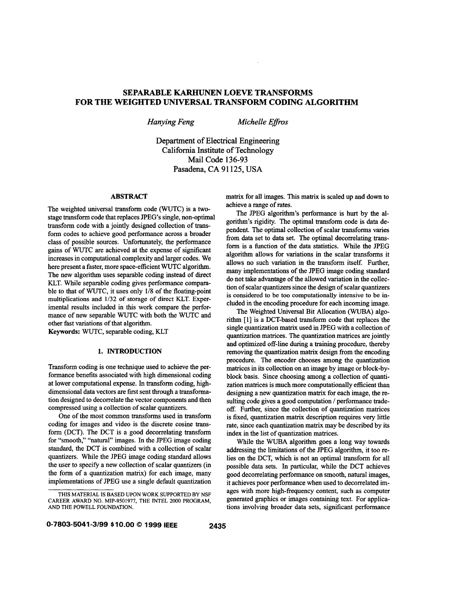# **SEPARABLE KARHUNEN LOEVE TRANSFORMS FOR THE WEIGHTED UNIVERSAL TRANSFORM CODING ALGORITHM**

*Hanying Feng Michelle Eflros* 

Department of Electrical Engineering California Institute of Technology Mail Code 136-93 Pasadena, CA 91125, USA

### **ABSTRACT**

The weighted universal transform code (WUTC) is a twostage transform code that replaces PEG'S single, non-optimal transform code with a jointly designed collection of transform codes to achieve good performance across a broader class of possible sources. Unfortunately, the performance gains of WUTC are achieved at the expense of significant increases in computational complexity and larger codes. We here present a faster, more space-efficient WUTC algorithm. The new algorithm uses separable coding instead of direct KLT. While separable coding gives performance comparable to that of WUTC, it uses only **1/8** of the floating-point multiplications and **1/32** of storage of direct **KLT.** Experimental results included in this work compare the performance of new separable WUTC with both the WUTC and other fast variations of that algorithm.

Keywords: WUTC, separable coding, KLT

#### **1. INTRODUCTION**

Transform coding is one technique used to achieve the performance benefits associated with high dimensional coding at lower computational expense. In transform coding, highdimensional data vectors are first sent through a transformation designed to decorrelate the vector components and then compressed using a collection of scalar quantizers.

One of the most common transforms used in transform coding for images and video is the discrete cosine transform (DCT). The DCT is a good decorrelating transform for "smooth," "natural" images. In the PEG image coding standard, the DCT is combined with a collection of scalar quantizers. While the JPEG image coding standard allows the user to specify a new collection of scalar quantizers (in the form of a quantization matrix) for each image, many implementations of PEG use a single default quantization

matrix for all images. This matrix is scaled up and down to achieve a range of rates.

The JPEG algorithm's performance is hurt by the algorithm's rigidity. The optimal transform code is data dependent. The optimal collection of scalar transforms varies from data set to data set. The optimal decorrelating transform is a function of the data statistics. While the JPEG algorithm allows for variations in the scalar transforms it allows no such variation in the transform itself. Further, many implementations of the JPEG image coding standard do not take advantage of the allowed variation in the collection of scalar quantizers since the design of scalar quantizers is considered **to** be too computationally intensive **to** be included in the encoding procedure for each incoming image.

The Weighted Universal Bit Allocation (WUBA) algorithm **[l]** is a DCT-based transform code that replaces the single quantization matrix used in PEG with a collection of quantization matrices. The quantization matrices are jointly and optimized off-line during a training procedure, thereby removing the quantization matrix design from the encoding procedure. The encoder chooses among the quantization matrices in its collection on an image by image or block-byblock basis. Since choosing among a collection of quantization matrices is much more computationally efficient than designing a new quantization matrix for each image, the resulting code gives a good computation / performance trade*off.* Further, since the collection of quantization matrices is fixed, quantization matrix description requires very little rate, since each quantization matrix may be described by its index in the list of quantization matrices.

While the **WUBA** algorithm goes a long way towards addressing the limitations of the JPEG algorithm, it too relies on the DCT, which is not an optimal transform for all possible data sets. In particular, while the DCT achieves good decorrelating performance on smooth, natural images, it achieves poor performance when used to decorrelated images with more high-frequency content, such as computer generated graphics or images containing text. For applications involving broader data sets, significant performance

THIS MATERIAL IS BASED UPON WORK SUPPORTED BY NSF CAREER AWARD NO. MIP-9501977, THE INTEL 2000 PROGRAM, AND THE POWELL FOUNDATION.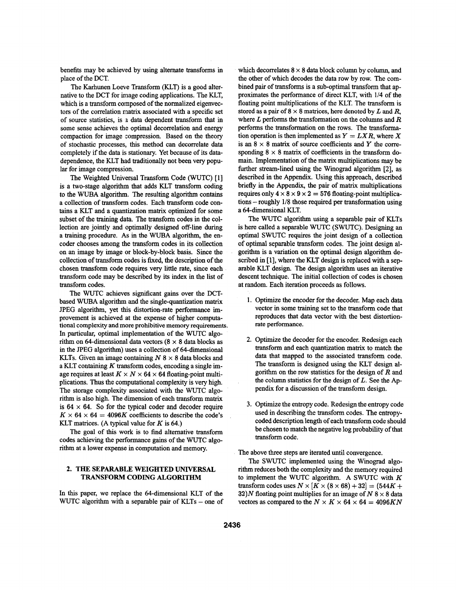benefits may be achieved by using alternate transforms in place of the DCT.

The Karhunen Loeve Transform (KLT) is a good alternative to the DCT for image coding applications. The KLT, which is a transform cornposed of the normalized eigenvectors of the correlation **matrix** associated with a specific set of source statistics, is *3* data dependent transform that in some sense achieves the optimal decorrelation and energy compaction for image zompression. Based on the theory of stochastic processes, this method can decorrelate data completely if the data is stationary. Yet because of its datadependence, the KLT had traditionally not been very popular for image compression.

The Weighted Universal Transform Code (WUTC) [1] is a two-stage algorithm that adds KLT transform coding to the WUBA algorithm. The resulting algorithm contains a collection of transform codes. Each transform code contains a KLT and a quantization matrix optimized for some subset of the training data. The transform codes in the collection are jointly and optimally designed off-line during a training procedure. As in the WUBA algorithm, the encoder chooses among the transform codes in its collection on an image by image or block-by-block basis. Since the collection of transform codes is fixed, the description of the chosen transform code requires very little rate, since each transform code may be described by its index in the list of transform codes.

The WUTC achieves significant gains over the DCTbased WUBA algorithm and the single-quantization matrix JPEG algorithm, yet this distortion-rate performance improvement is achieved at the expense of higher computational complexity and more prohibitive memory requirements. In particular, optimal implementation of the WUTC algorithm on 64-dimensional data vectors  $(8 \times 8)$  data blocks as in the REG algorithm) uses a collection of 64-dimensional KLTs. Given an image containing  $N$  8  $\times$  8 data blocks and a KLT containing  $K$  transform codes, encoding a single image requires at least  $K \times N \times 64 \times 64$  floating-point multiplications. Thus the computational complexity is very **high.**  The storage complexity associated with the WUTC algorithm is also high. The dimension of each transform matrix is  $64 \times 64$ . So for the typical coder and decoder require  $K \times 64 \times 64 = 4096K$  coefficients to describe the code's KLT matrices. (A typical value for **K** is 64.)

The goal of this work is to find alternative transform codes achieving the performance gains of the WUTC algorithm at a lower expense in computation and memory.

# **2. THE SEPARABLE WEIGHTED UNIVERSAL TRANSFORM CODING ALGORITHM**

In this paper, we replace the 64-dimensional KLT of the WUTC algorithm with a separable pair of  $KLTs$  – one of which decorrelates  $8 \times 8$  data block column by column, and the other of which decodes the data row by row. The combined pair of transforms is a sub-optimal transform that approximates the performance of direct KLT, with 1/4 of the floating point multiplications of the KLT. The transform is stored as a pair of  $8 \times 8$  matrices, here denoted by L and R, where *L* performs the transformation on the columns and R performs the transformation on the rows. The transformation operation is then implemented as  $Y = LXR$ , where X is an  $8 \times 8$  matrix of source coefficients and Y the corresponding  $8 \times 8$  matrix of coefficients in the transform domain. Implementation of the matrix multiplications may be fiuther stream-lined using the Winograd algorithm **[2],** as described in the Appendix. Using this approach, described briefly in the Appendix, the pair of matrix multiplications requires only  $4 \times 8 \times 9 \times 2 = 576$  floating-point multiplications - roughly 1/8 those required per transformation using a 64-dimensional KLT.

The WUTC algorithm using a separable pair of KLTs is here called a separable **WUTC** (SWUTC). Designing an optimal SWUTC requires the joint design of a collection of optimal separable transform codes. The joint design algorithm is a variation on the optimal design algorithm described in [1], where the KLT design is replaced with a separable KLT design. The design algorithm uses an iterative descent technique. The initial collection of codes is chosen at random. Each iteration proceeds as follows.

- **1.** Optimize the encoder for the decoder. Map each data vector in some training set to the transform code that reproduces that data vector with the best distortionrate performance.
- 2. Optimize the decoder for the encoder. Redesign each transform and each quantization matrix to match the data that mapped to the associated transform code. The transform is designed using the KLT design algorithm on the row statistics for the design of  $R$  and the column statistics for the design of *L.* See the Appendix for a discussion of the transform design.
- 3. Optimize the entropy code. Redesign the entropy code used in describing the transform codes. The entropycoded description length of each transform code should be chosen to match the negative log probability of that transform code.

The above three steps are iterated until convergence.

The SWUTC implemented using the Winograd algorithm reduces both the complexity and the memory required to implement the WUTC algorithm. A SWUTC with  $K$ transform codes uses  $N \times [K \times (8 \times 68) + 32] = (544K +$ **32)**N floating point multiplies for an image of  $N$  8  $\times$  8 data vectors as compared to the  $N \times K \times 64 \times 64 = 4096KN$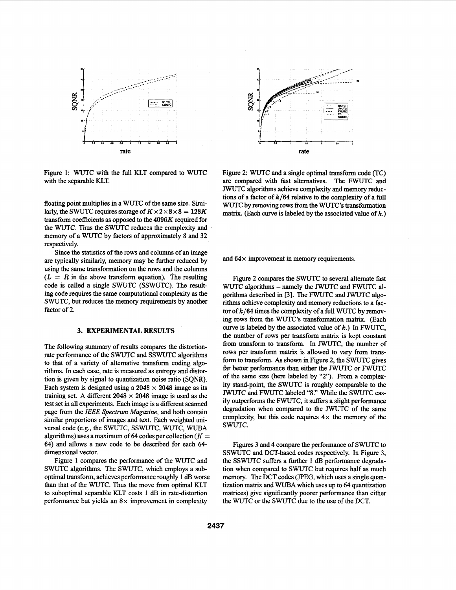

Figure 1: WUTC with the full KLT compared to WUTC with the separable KLT.

floating point multiplies in a WUTC of the same size. *Simi*larly, the SWUTC requires storage of  $K \times 2 \times 8 \times 8 = 128K$ transform coefficients **as** opposed to the **4096K** required for the WUTC. Thus the SWUTC reduces the complexity and memory of a WUTC by factors of approximately 8 and **32**  respectively.

Since the statistics of the rows and columns of an image are typically similarly, memory may be further reduced by using the same transformation on the rows and the columns  $(L = R$  in the above transform equation). The resulting code is called a single SWUTC (SSWUTC). The resulting code requires the same computational complexity **as** the SWUTC, but reduces the memory requirements by another factor of 2.

#### **3. EXPERIMENTAL RESULTS**

The following summary of results compares the distortionrate performance of the SWUTC and SSWUTC algorithms to that of a variety of alternative transform coding algorithms. In each case, rate is measured as entropy and distortion is given by signal to quantization noise ratio (SQNR). Each system is designed using a  $2048 \times 2048$  image as its training set. A different  $2048 \times 2048$  image is used as the test set in all experiments. Each image is a different scanned page from the IEEE Spectrum Magazine, and both contain similar proportions of images and text. Each weighted universal code (e.g., the SWUTC, SSWUTC, WUTC, **WUBA**  algorithms) uses a maximum of 64 codes per collection  $(K =$ **64)** and allows a new code to be described for each **64**  dimensional vector.

Figure 1 compares the performance of the WUTC and SWUTC algorithms. The SWUTC, which employs a suboptimal transform, achieves performance roughly 1 **dE3** worse than that of the WUTC. **Thus** the move from optimal KLT to suboptimal separable KLT costs 1 dB in rate-distortion performance but yields an **8x** improvement in complexity



Figure 2: WUTC and a single optimal transform code (TC) are compared with fast alternatives. The FWUTC and JWUTC algorithms achieve complexity and memory reduc**tions** of a factor of **k/64** relative to the complexity of a full WUTC by removing rows from the WUTC's transformation matrix. (Each curve is labeled by the associated value of **k.)** 

and **64 x** improvement in memory requirements.

Figure 2 compares the SWUTC to several altemate fast WUTC algorithms - namely the JWUTC and FWUTC algorithms described in **[3].** The FWUTC and JWUTC **algo**rithms achieve complexity and memory reductions to a factor of **k/64** times the complexity of a full **WUTC** by removing rows from the WUTC's transformation **matrix.** (Each curve is labeled by the associated value of  $k$ .) In FWUTC, the number of rows per transform matrix is kept constant from transform to transform. In JWUTC, the number of rows per transform **matrix** is allowed to vary from transform to transform. *As* shown in Figure **2,** the SWUTC gives far better performance than either the JWUTC or FWUTC of the same size (here labeled by *"2").* From a complexity stand-point, the SWUTC is roughly comparable to the JWUTC and FWUTC labeled **"8."** While the SWUTC easily outperforms the FWUTC, it suffers a slight performance degradation when compared to the JWUTC of the same complexity, but this code requires  $4 \times$  the memory of the SWUTC.

Figures **3** and **4** compare the performance of SWUTC to SSWUTC and DCT-based codes respectively. In Figure 3, the SSWUTC suffers a further 1 dB performance degradation when compared to SWUTC but requires half as much memory. The DCT codes (JPEG, which uses a single quantization matrix and **WUBA** which uses up to **64** quantization matrices) give signtficantly poorer performance than either the WUTC or the SWUTC due to the use of the DCT.